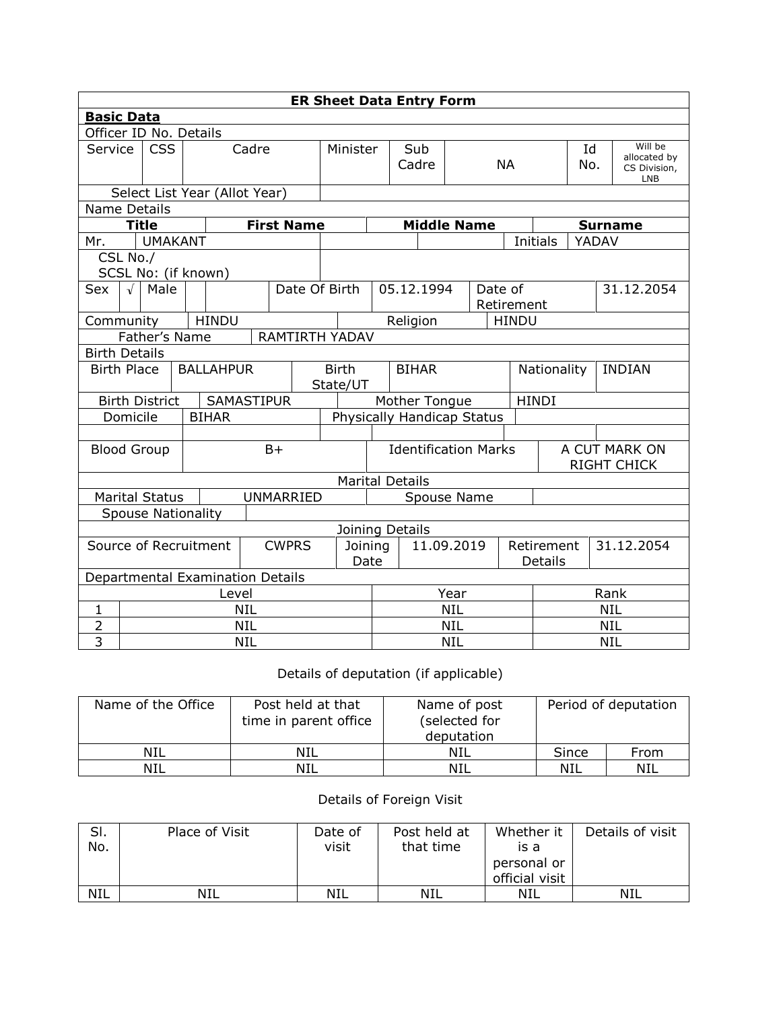| <b>ER Sheet Data Entry Form</b>       |                                        |                       |  |                                  |                 |                   |            |                                          |                             |              |                              |                              |                       |                                     |                 |  |            |                                                       |
|---------------------------------------|----------------------------------------|-----------------------|--|----------------------------------|-----------------|-------------------|------------|------------------------------------------|-----------------------------|--------------|------------------------------|------------------------------|-----------------------|-------------------------------------|-----------------|--|------------|-------------------------------------------------------|
|                                       | <b>Basic Data</b>                      |                       |  |                                  |                 |                   |            |                                          |                             |              |                              |                              |                       |                                     |                 |  |            |                                                       |
|                                       | Officer ID No. Details                 |                       |  |                                  |                 |                   |            |                                          |                             |              |                              |                              |                       |                                     |                 |  |            |                                                       |
|                                       | <b>CSS</b><br>Service                  |                       |  | Cadre                            |                 |                   |            | Minister                                 |                             | Sub<br>Cadre |                              | <b>NA</b>                    |                       |                                     | Id<br>No.       |  |            | Will be<br>allocated by<br>CS Division,<br><b>LNB</b> |
| Select List Year (Allot Year)         |                                        |                       |  |                                  |                 |                   |            |                                          |                             |              |                              |                              |                       |                                     |                 |  |            |                                                       |
| <b>Name Details</b>                   |                                        |                       |  |                                  |                 |                   |            |                                          |                             |              |                              |                              |                       |                                     |                 |  |            |                                                       |
|                                       |                                        | <b>Title</b>          |  |                                  |                 | <b>First Name</b> |            |                                          |                             |              |                              |                              | <b>Middle Name</b>    |                                     | <b>Surname</b>  |  |            |                                                       |
| Mr.                                   |                                        | <b>UMAKANT</b>        |  |                                  |                 |                   |            |                                          |                             |              |                              |                              |                       |                                     | <b>Initials</b> |  | YADAV      |                                                       |
|                                       | CSL No./                               |                       |  |                                  |                 |                   |            |                                          |                             |              |                              |                              |                       |                                     |                 |  |            |                                                       |
|                                       |                                        |                       |  | SCSL No: (if known)              |                 |                   |            |                                          |                             |              |                              |                              |                       |                                     |                 |  |            |                                                       |
| Sex                                   | $\sqrt{ }$                             | Male                  |  | Date Of Birth                    |                 |                   |            | 05.12.1994                               |                             |              |                              |                              | Date of<br>Retirement |                                     |                 |  | 31.12.2054 |                                                       |
|                                       | <b>HINDU</b><br>Community              |                       |  |                                  |                 |                   |            | Religion                                 |                             |              |                              | <b>HINDU</b>                 |                       |                                     |                 |  |            |                                                       |
|                                       | Father's Name<br><b>RAMTIRTH YADAV</b> |                       |  |                                  |                 |                   |            |                                          |                             |              |                              |                              |                       |                                     |                 |  |            |                                                       |
| <b>Birth Details</b>                  |                                        |                       |  |                                  |                 |                   |            |                                          |                             |              |                              |                              |                       |                                     |                 |  |            |                                                       |
| <b>Birth Place</b>                    |                                        |                       |  | <b>BALLAHPUR</b>                 |                 |                   |            | <b>BIHAR</b><br><b>Birth</b><br>State/UT |                             |              |                              | Nationality<br><b>INDIAN</b> |                       |                                     |                 |  |            |                                                       |
|                                       |                                        | <b>Birth District</b> |  | <b>SAMASTIPUR</b>                |                 |                   |            | Mother Tongue                            |                             |              |                              |                              |                       | <b>HINDI</b>                        |                 |  |            |                                                       |
|                                       | Domicile                               |                       |  | <b>BIHAR</b>                     |                 |                   |            | Physically Handicap Status               |                             |              |                              |                              |                       |                                     |                 |  |            |                                                       |
|                                       |                                        |                       |  |                                  |                 |                   |            |                                          |                             |              |                              |                              |                       |                                     |                 |  |            |                                                       |
|                                       |                                        | <b>Blood Group</b>    |  |                                  |                 | $B+$              |            |                                          | <b>Identification Marks</b> |              |                              |                              |                       | A CUT MARK ON<br><b>RIGHT CHICK</b> |                 |  |            |                                                       |
|                                       |                                        |                       |  |                                  |                 |                   |            | <b>Marital Details</b>                   |                             |              |                              |                              |                       |                                     |                 |  |            |                                                       |
|                                       |                                        | <b>Marital Status</b> |  |                                  |                 | <b>UNMARRIED</b>  |            | Spouse Name                              |                             |              |                              |                              |                       |                                     |                 |  |            |                                                       |
|                                       |                                        |                       |  | <b>Spouse Nationality</b>        |                 |                   |            |                                          |                             |              |                              |                              |                       |                                     |                 |  |            |                                                       |
|                                       |                                        |                       |  |                                  |                 |                   |            | Joining Details                          |                             |              |                              |                              |                       |                                     |                 |  |            |                                                       |
| Source of Recruitment<br><b>CWPRS</b> |                                        |                       |  |                                  | Joining<br>Date |                   | 11.09.2019 |                                          |                             |              | Retirement<br><b>Details</b> |                              |                       | 31.12.2054                          |                 |  |            |                                                       |
|                                       |                                        |                       |  | Departmental Examination Details |                 |                   |            |                                          |                             |              |                              |                              |                       |                                     |                 |  |            |                                                       |
|                                       | Level                                  |                       |  |                                  |                 |                   | Year       |                                          |                             |              | Rank                         |                              |                       |                                     |                 |  |            |                                                       |
| $\mathbf{1}$                          | <b>NIL</b>                             |                       |  |                                  |                 |                   | <b>NIL</b> |                                          |                             |              |                              | <b>NIL</b>                   |                       |                                     |                 |  |            |                                                       |
| $\overline{2}$                        | <b>NIL</b>                             |                       |  |                                  |                 |                   |            | <b>NIL</b>                               |                             |              |                              | <b>NIL</b>                   |                       |                                     |                 |  |            |                                                       |
| $\overline{3}$                        | <b>NIL</b>                             |                       |  |                                  |                 |                   | <b>NIL</b> |                                          |                             |              | <b>NIL</b>                   |                              |                       |                                     |                 |  |            |                                                       |

## Details of deputation (if applicable)

| Name of the Office | Post held at that<br>time in parent office | Name of post<br>(selected for<br>deputation |       | Period of deputation |
|--------------------|--------------------------------------------|---------------------------------------------|-------|----------------------|
| NIL                | NIL                                        | NIL                                         | Since | From                 |
| NIL                | NIL                                        | NIL                                         | NIL   | NIL                  |

## Details of Foreign Visit

| SI.<br>No. | Place of Visit | Date of<br>visit | Post held at<br>that time | Whether it<br>is a<br>personal or<br>official visit | Details of visit |
|------------|----------------|------------------|---------------------------|-----------------------------------------------------|------------------|
| <b>NIL</b> | NIL            | NIL              | NIL                       | NIL                                                 | NIL              |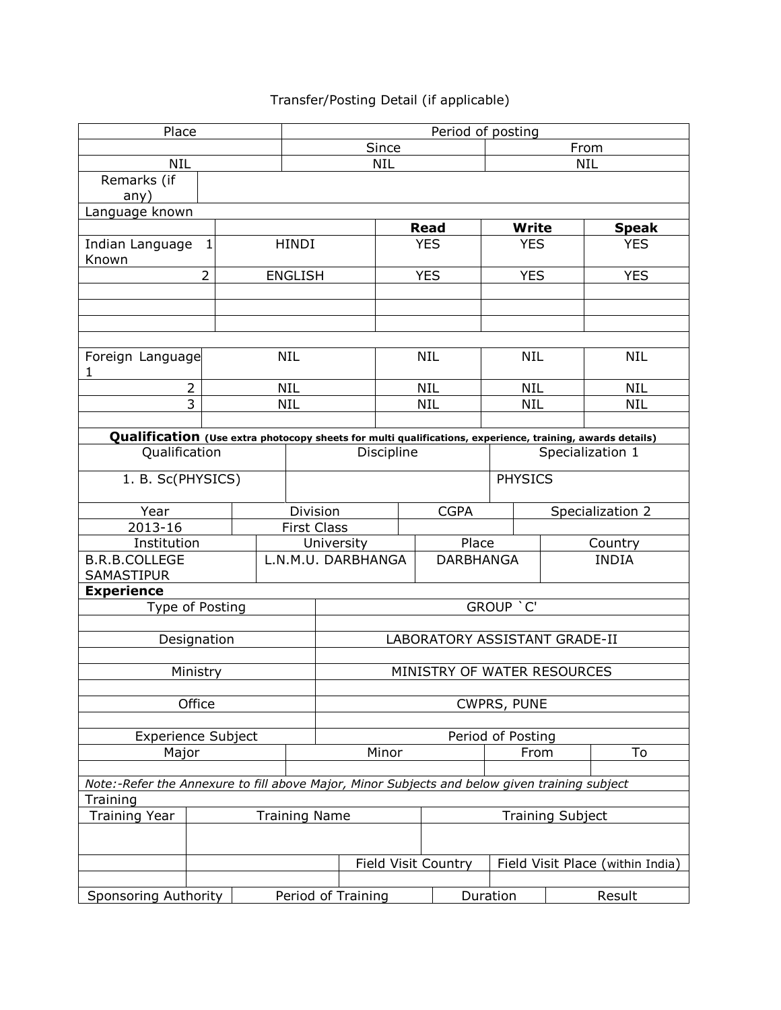## Transfer/Posting Detail (if applicable)

| Place                                                                                                     | Period of posting |                          |                    |                               |                           |  |                            |                                  |                         |                  |  |
|-----------------------------------------------------------------------------------------------------------|-------------------|--------------------------|--------------------|-------------------------------|---------------------------|--|----------------------------|----------------------------------|-------------------------|------------------|--|
|                                                                                                           | Since             |                          |                    |                               |                           |  | From                       |                                  |                         |                  |  |
| <b>NIL</b>                                                                                                |                   | <b>NIL</b><br><b>NIL</b> |                    |                               |                           |  |                            |                                  |                         |                  |  |
| Remarks (if                                                                                               |                   |                          |                    |                               |                           |  |                            |                                  |                         |                  |  |
| any)                                                                                                      |                   |                          |                    |                               |                           |  |                            |                                  |                         |                  |  |
| Language known                                                                                            |                   |                          |                    |                               |                           |  |                            |                                  |                         | <b>Speak</b>     |  |
| Indian Language<br>1                                                                                      |                   | <b>HINDI</b>             |                    |                               | <b>Read</b><br><b>YES</b> |  | <b>Write</b><br><b>YES</b> |                                  | <b>YES</b>              |                  |  |
| Known                                                                                                     |                   |                          |                    |                               |                           |  |                            |                                  |                         |                  |  |
| $\overline{2}$                                                                                            |                   |                          | <b>ENGLISH</b>     |                               |                           |  | <b>YES</b>                 | <b>YES</b>                       |                         | <b>YES</b>       |  |
|                                                                                                           |                   |                          |                    |                               |                           |  |                            |                                  |                         |                  |  |
|                                                                                                           |                   |                          |                    |                               |                           |  |                            |                                  |                         |                  |  |
|                                                                                                           |                   |                          |                    |                               |                           |  |                            |                                  |                         |                  |  |
| Foreign Language<br>1                                                                                     |                   |                          | <b>NIL</b>         |                               |                           |  | <b>NIL</b>                 | <b>NIL</b>                       |                         | <b>NIL</b>       |  |
| $\overline{2}$                                                                                            |                   |                          | <b>NIL</b>         |                               |                           |  | <b>NIL</b>                 | <b>NIL</b>                       |                         | <b>NIL</b>       |  |
| 3                                                                                                         |                   |                          | <b>NIL</b>         |                               |                           |  | <b>NIL</b>                 | <b>NIL</b>                       |                         | <b>NIL</b>       |  |
|                                                                                                           |                   |                          |                    |                               |                           |  |                            |                                  |                         |                  |  |
| Qualification (Use extra photocopy sheets for multi qualifications, experience, training, awards details) |                   |                          |                    |                               |                           |  |                            |                                  |                         |                  |  |
| Qualification                                                                                             |                   |                          |                    |                               | Discipline                |  |                            | Specialization 1                 |                         |                  |  |
|                                                                                                           | 1. B. Sc(PHYSICS) |                          |                    |                               |                           |  |                            | <b>PHYSICS</b>                   |                         |                  |  |
| Year                                                                                                      |                   |                          | Division           |                               |                           |  | <b>CGPA</b>                |                                  |                         | Specialization 2 |  |
| 2013-16                                                                                                   |                   |                          | <b>First Class</b> |                               |                           |  |                            |                                  |                         |                  |  |
| Institution                                                                                               |                   |                          | University         |                               |                           |  | Place                      |                                  |                         | Country          |  |
| <b>B.R.B.COLLEGE</b><br><b>SAMASTIPUR</b>                                                                 |                   |                          | L.N.M.U. DARBHANGA |                               |                           |  | <b>DARBHANGA</b>           |                                  | <b>INDIA</b>            |                  |  |
| <b>Experience</b>                                                                                         |                   |                          |                    |                               |                           |  |                            |                                  |                         |                  |  |
| Type of Posting                                                                                           |                   |                          |                    | GROUP 'C'                     |                           |  |                            |                                  |                         |                  |  |
|                                                                                                           |                   |                          |                    | LABORATORY ASSISTANT GRADE-II |                           |  |                            |                                  |                         |                  |  |
| Designation                                                                                               |                   |                          |                    |                               |                           |  |                            |                                  |                         |                  |  |
| Ministry                                                                                                  |                   |                          |                    | MINISTRY OF WATER RESOURCES   |                           |  |                            |                                  |                         |                  |  |
|                                                                                                           |                   |                          |                    |                               |                           |  |                            |                                  |                         |                  |  |
| Office                                                                                                    |                   |                          |                    | CWPRS, PUNE                   |                           |  |                            |                                  |                         |                  |  |
|                                                                                                           |                   |                          |                    |                               |                           |  |                            |                                  |                         |                  |  |
| <b>Experience Subject</b>                                                                                 |                   |                          |                    |                               |                           |  |                            | Period of Posting                |                         |                  |  |
| Major                                                                                                     |                   |                          |                    |                               | Minor                     |  |                            | From                             |                         | To               |  |
| Note:-Refer the Annexure to fill above Major, Minor Subjects and below given training subject             |                   |                          |                    |                               |                           |  |                            |                                  |                         |                  |  |
| Training                                                                                                  |                   |                          |                    |                               |                           |  |                            |                                  |                         |                  |  |
| <b>Training Year</b><br><b>Training Name</b>                                                              |                   |                          |                    |                               |                           |  |                            |                                  | <b>Training Subject</b> |                  |  |
|                                                                                                           |                   |                          |                    |                               |                           |  |                            |                                  |                         |                  |  |
|                                                                                                           |                   |                          |                    |                               | Field Visit Country       |  |                            | Field Visit Place (within India) |                         |                  |  |
|                                                                                                           |                   |                          |                    |                               |                           |  |                            |                                  |                         |                  |  |
| <b>Sponsoring Authority</b>                                                                               |                   |                          | Period of Training |                               |                           |  |                            | Duration<br>Result               |                         |                  |  |